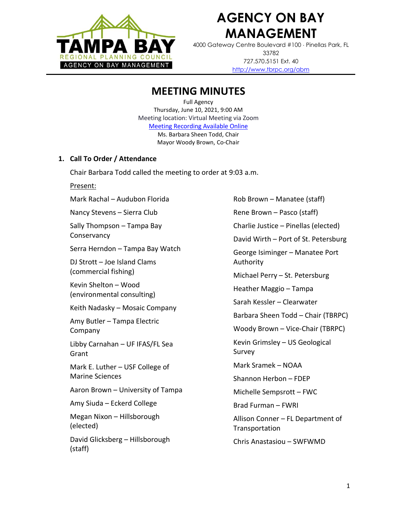

# **AGENCY ON BAY MANAGEMENT**

4000 Gateway Centre Boulevard #100 Pinellas Park, FL 33782 727.570.5151 Ext. 40 <http://www.tbrpc.org/abm>

## **MEETING MINUTES**

Full Agency Thursday, June 10, 2021, 9:00 AM Meeting location: Virtual Meeting via Zoom [Meeting Recording Available Online](https://youtu.be/Qrkq1mOrXSE) Ms. Barbara Sheen Todd, Chair Mayor Woody Brown, Co-Chair

#### **1. Call To Order / Attendance**

Chair Barbara Todd called the meeting to order at 9:03 a.m.

Present:

Mark Rachal – Audubon Florida Nancy Stevens – Sierra Club Sally Thompson – Tampa Bay **Conservancy** Serra Herndon – Tampa Bay Watch DJ Strott – Joe Island Clams (commercial fishing) Kevin Shelton – Wood (environmental consulting) Keith Nadasky – Mosaic Company Amy Butler – Tampa Electric Company Libby Carnahan – UF IFAS/FL Sea Grant Mark E. Luther – USF College of Marine Sciences Aaron Brown – University of Tampa Amy Siuda – Eckerd College Megan Nixon – Hillsborough (elected) David Glicksberg – Hillsborough (staff)

Rob Brown – Manatee (staff) Rene Brown – Pasco (staff) Charlie Justice – Pinellas (elected) David Wirth – Port of St. Petersburg George Isiminger – Manatee Port Authority Michael Perry – St. Petersburg Heather Maggio – Tampa Sarah Kessler – Clearwater Barbara Sheen Todd – Chair (TBRPC) Woody Brown – Vice-Chair (TBRPC) Kevin Grimsley – US Geological Survey Mark Sramek – NOAA Shannon Herbon – FDEP Michelle Sempsrott – FWC Brad Furman – FWRI Allison Conner – FL Department of **Transportation** Chris Anastasiou – SWFWMD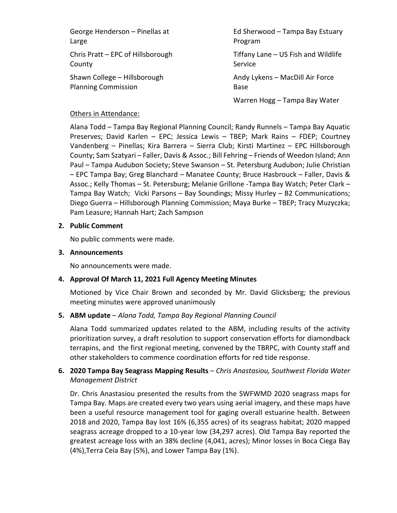George Henderson – Pinellas at Large Chris Pratt – EPC of Hillsborough County

Shawn College – Hillsborough Planning Commission

Ed Sherwood – Tampa Bay Estuary Program

Tiffany Lane – US Fish and Wildlife Service

Andy Lykens – MacDill Air Force Base

Warren Hogg – Tampa Bay Water

#### Others in Attendance:

Alana Todd – Tampa Bay Regional Planning Council; Randy Runnels – Tampa Bay Aquatic Preserves; David Karlen – EPC; Jessica Lewis – TBEP; Mark Rains – FDEP; Courtney Vandenberg – Pinellas; Kira Barrera – Sierra Club; Kirsti Martinez – EPC Hillsborough County; Sam Szatyari – Faller, Davis & Assoc.; Bill Fehring – Friends of Weedon Island; Ann Paul – Tampa Audubon Society; Steve Swanson – St. Petersburg Audubon; Julie Christian – EPC Tampa Bay; Greg Blanchard – Manatee County; Bruce Hasbrouck – Faller, Davis & Assoc.; Kelly Thomas – St. Petersburg; Melanie Grillone -Tampa Bay Watch; Peter Clark – Tampa Bay Watch; Vicki Parsons – Bay Soundings; Missy Hurley – B2 Communications; Diego Guerra – Hillsborough Planning Commission; Maya Burke – TBEP; Tracy Muzyczka; Pam Leasure; Hannah Hart; Zach Sampson

#### **2. Public Comment**

No public comments were made.

#### **3. Announcements**

No announcements were made.

#### **4. Approval Of March 11, 2021 Full Agency Meeting Minutes**

Motioned by Vice Chair Brown and seconded by Mr. David Glicksberg; the previous meeting minutes were approved unanimously

#### **5. ABM update** – *Alana Todd, Tampa Bay Regional Planning Council*

Alana Todd summarized updates related to the ABM, including results of the activity prioritization survey, a draft resolution to support conservation efforts for diamondback terrapins, and the first regional meeting, convened by the TBRPC, with County staff and other stakeholders to commence coordination efforts for red tide response.

### **6. 2020 Tampa Bay Seagrass Mapping Results** – *Chris Anastasiou, Southwest Florida Water Management District*

Dr. Chris Anastasiou presented the results from the SWFWMD 2020 seagrass maps for Tampa Bay. Maps are created every two years using aerial imagery, and these maps have been a useful resource management tool for gaging overall estuarine health. Between 2018 and 2020, Tampa Bay lost 16% (6,355 acres) of its seagrass habitat; 2020 mapped seagrass acreage dropped to a 10-year low (34,297 acres). Old Tampa Bay reported the greatest acreage loss with an 38% decline (4,041, acres); Minor losses in Boca Ciega Bay (4%),Terra Ceia Bay (5%), and Lower Tampa Bay (1%).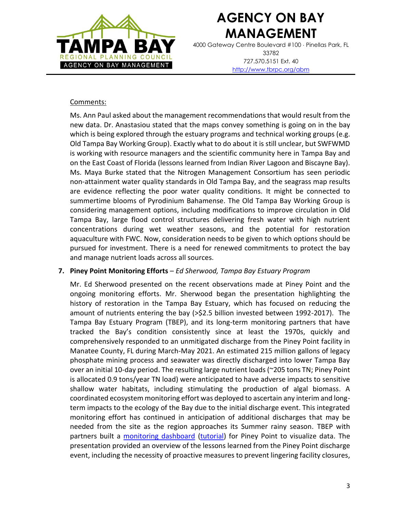

# **AGENCY ON BAY MANAGEMENT**

4000 Gateway Centre Boulevard #100 Pinellas Park, FL 33782 727.570.5151 Ext. 40 <http://www.tbrpc.org/abm>

#### Comments:

Ms. Ann Paul asked about the management recommendations that would result from the new data. Dr. Anastasiou stated that the maps convey something is going on in the bay which is being explored through the estuary programs and technical working groups (e.g. Old Tampa Bay Working Group). Exactly what to do about it is still unclear, but SWFWMD is working with resource managers and the scientific community here in Tampa Bay and on the East Coast of Florida (lessons learned from Indian River Lagoon and Biscayne Bay). Ms. Maya Burke stated that the Nitrogen Management Consortium has seen periodic non-attainment water quality standards in Old Tampa Bay, and the seagrass map results are evidence reflecting the poor water quality conditions. It might be connected to summertime blooms of Pyrodinium Bahamense. The Old Tampa Bay Working Group is considering management options, including modifications to improve circulation in Old Tampa Bay, large flood control structures delivering fresh water with high nutrient concentrations during wet weather seasons, and the potential for restoration aquaculture with FWC. Now, consideration needs to be given to which options should be pursued for investment. There is a need for renewed commitments to protect the bay and manage nutrient loads across all sources.

#### **7. Piney Point Monitoring Efforts** – *Ed Sherwood, Tampa Bay Estuary Program*

Mr. Ed Sherwood presented on the recent observations made at Piney Point and the ongoing monitoring efforts. Mr. Sherwood began the presentation highlighting the history of restoration in the Tampa Bay Estuary, which has focused on reducing the amount of nutrients entering the bay (>\$2.5 billion invested between 1992-2017). The Tampa Bay Estuary Program (TBEP), and its long-term monitoring partners that have tracked the Bay's condition consistently since at least the 1970s, quickly and comprehensively responded to an unmitigated discharge from the Piney Point facility in Manatee County, FL during March-May 2021. An estimated 215 million gallons of legacy phosphate mining process and seawater was directly discharged into lower Tampa Bay over an initial 10-day period. The resulting large nutrient loads (~205 tons TN; Piney Point is allocated 0.9 tons/year TN load) were anticipated to have adverse impacts to sensitive shallow water habitats, including stimulating the production of algal biomass. A coordinated ecosystem monitoring effort was deployed to ascertain any interim and longterm impacts to the ecology of the Bay due to the initial discharge event. This integrated monitoring effort has continued in anticipation of additional discharges that may be needed from the site as the region approaches its Summer rainy season. TBEP with partners built a [monitoring dashboard](https://shiny.tbep.org/piney-point/) [\(tutorial\)](https://www.youtube.com/watch?v=KIki3yOTiWc) for Piney Point to visualize data. The presentation provided an overview of the lessons learned from the Piney Point discharge event, including the necessity of proactive measures to prevent lingering facility closures,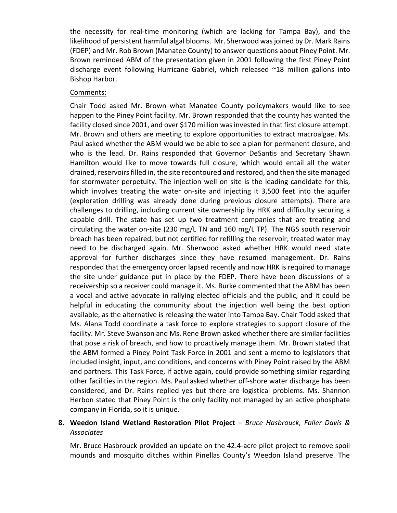the necessity for real-time monitoring (which are lacking for Tampa Bay), and the likelihood of persistent harmful algal blooms. Mr. Sherwood was joined by Dr. Mark Rains (FDEP) and Mr. Rob Brown (Manatee County) to answer questions about Piney Point. Mr. Brown reminded ABM of the presentation given in 2001 following the first Piney Point discharge event following Hurricane Gabriel, which released ~18 million gallons into Bishop Harbor.

#### Comments:

Chair Todd asked Mr. Brown what Manatee County policymakers would like to see happen to the Piney Point facility. Mr. Brown responded that the county has wanted the facility closed since 2001, and over \$170 million was invested in that first closure attempt. Mr. Brown and others are meeting to explore opportunities to extract macroalgae. Ms. Paul asked whether the ABM would we be able to see a plan for permanent closure, and who is the lead. Dr. Rains responded that Governor DeSantis and Secretary Shawn Hamilton would like to move towards full closure, which would entail all the water drained, reservoirsfilled in, the site recontoured and restored, and then the site managed for stormwater perpetuity. The injection well on site is the leading candidate for this, which involves treating the water on-site and injecting it 3,500 feet into the aquifer (exploration drilling was already done during previous closure attempts). There are challenges to drilling, including current site ownership by HRK and difficulty securing a capable drill. The state has set up two treatment companies that are treating and circulating the water on-site (230 mg/L TN and 160 mg/L TP). The NGS south reservoir breach has been repaired, but not certified for refilling the reservoir; treated water may need to be discharged again. Mr. Sherwood asked whether HRK would need state approval for further discharges since they have resumed management. Dr. Rains responded that the emergency order lapsed recently and now HRK is required to manage the site under guidance put in place by the FDEP. There have been discussions of a receivership so a receiver could manage it. Ms. Burke commented that the ABM has been a vocal and active advocate in rallying elected officials and the public, and it could be helpful in educating the community about the injection well being the best option available, as the alternative is releasing the water into Tampa Bay. Chair Todd asked that Ms. Alana Todd coordinate a task force to explore strategies to support closure of the facility. Mr. Steve Swanson and Ms. Rene Brown asked whether there are similar facilities that pose a risk of breach, and how to proactively manage them. Mr. Brown stated that the ABM formed a Piney Point Task Force in 2001 and sent a memo to legislators that included insight, input, and conditions, and concerns with Piney Point raised by the ABM and partners. This Task Force, if active again, could provide something similar regarding other facilities in the region. Ms. Paul asked whether off-shore water discharge has been considered, and Dr. Rains replied yes but there are logistical problems. Ms. Shannon Herbon stated that Piney Point is the only facility not managed by an active phosphate company in Florida, so it is unique.

#### **8. Weedon Island Wetland Restoration Pilot Project** – *Bruce Hasbrouck, Faller Davis & Associates*

Mr. Bruce Hasbrouck provided an update on the 42.4-acre pilot project to remove spoil mounds and mosquito ditches within Pinellas County's Weedon Island preserve. The